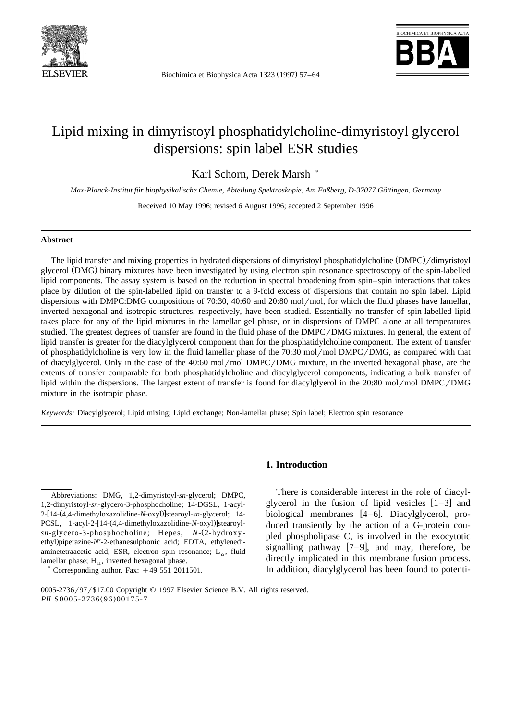

Biochimica et Biophysica Acta 1323 (1997) 57–64



# Lipid mixing in dimyristoyl phosphatidylcholine-dimyristoyl glycerol dispersions: spin label ESR studies

Karl Schorn, Derek Marsh \*

*Max-Planck-Institut fur biophysikalische Chemie, Abteilung Spektroskopie, Am Faßberg, D-37077 Gottingen, Germany* ¨ ¨

Received 10 May 1996; revised 6 August 1996; accepted 2 September 1996

#### **Abstract**

The lipid transfer and mixing properties in hydrated dispersions of dimyristoyl phosphatidylcholine (DMPC)/dimyristoyl glycerol (DMG) binary mixtures have been investigated by using electron spin resonance spectroscopy of the spin-labelled lipid components. The assay system is based on the reduction in spectral broadening from spin–spin interactions that takes place by dilution of the spin-labelled lipid on transfer to a 9-fold excess of dispersions that contain no spin label. Lipid dispersions with DMPC:DMG compositions of 70:30, 40:60 and 20:80 mol/mol, for which the fluid phases have lamellar, inverted hexagonal and isotropic structures, respectively, have been studied. Essentially no transfer of spin-labelled lipid takes place for any of the lipid mixtures in the lamellar gel phase, or in dispersions of DMPC alone at all temperatures studied. The greatest degrees of transfer are found in the fluid phase of the DMPC/DMG mixtures. In general, the extent of lipid transfer is greater for the diacylglycerol component than for the phosphatidylcholine component. The extent of transfer of phosphatidylcholine is very low in the fluid lamellar phase of the  $70:30 \text{ mol/mol}$  DMPC/DMG, as compared with that of diacylglycerol. Only in the case of the 40:60 mol/mol DMPC/DMG mixture, in the inverted hexagonal phase, are the extents of transfer comparable for both phosphatidylcholine and diacylglycerol components, indicating a bulk transfer of lipid within the dispersions. The largest extent of transfer is found for diacylglyerol in the  $20:80 \text{ mol/mol}$  DMPC/DMG mixture in the isotropic phase.

*Keywords:* Diacylglycerol; Lipid mixing; Lipid exchange; Non-lamellar phase; Spin label; Electron spin resonance

Abbreviations: DMG, 1,2-dimyristoyl-*sn*-glycerol; DMPC, 1,2-dimyristoyl-*sn*-glycero-3-phosphocholine; 14-DGSL, 1-acyl-2-[14-(4,4-dimethyloxazolidine-N-oxyl)]stearoyl-sn-glycerol; 14-PCSL, 1-acyl-2-[14-(4,4-dimethyloxazolidine-N-oxyl)]stearoyl*sn*-glycero-3-phosphocholine; Hepes, *N*-(2-hydroxyethyl) piperazine- $N'$ -2-ethanesulphonic acid; EDTA, ethylenediaminetetraacetic acid; ESR, electron spin resonance;  $L_{\alpha}$ , fluid

## **1. Introduction**

There is considerable interest in the role of diacylglycerol in the fusion of lipid vesicles  $[1-3]$  and biological membranes  $[4-6]$ . Diacylglycerol, produced transiently by the action of a G-protein coupled phospholipase C, is involved in the exocytotic signalling pathway  $[7-9]$ , and may, therefore, be directly implicated in this membrane fusion process. In addition, diacylglycerol has been found to potenti-

lamellar phase;  $H_{II}$ , inverted hexagonal phase.<br>
<sup>\*</sup> Corresponding author. Fax:  $+49\,551\,2011501$ .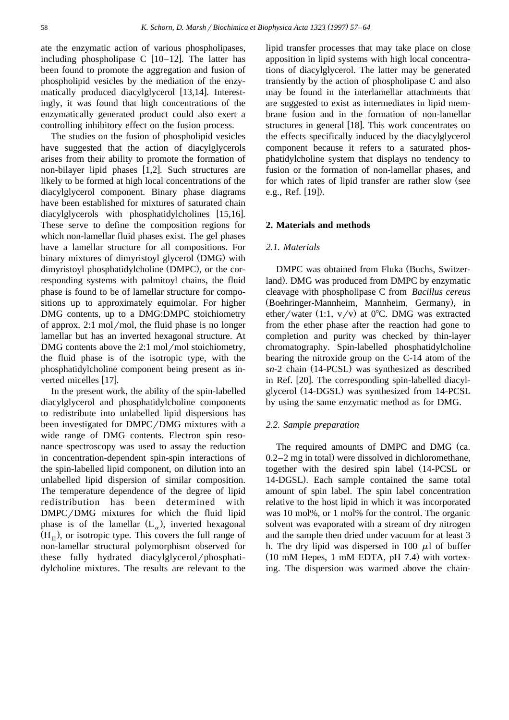ate the enzymatic action of various phospholipases, including phospholipase C  $[10-12]$ . The latter has been found to promote the aggregation and fusion of phospholipid vesicles by the mediation of the enzymatically produced diacylglycerol [13,14]. Interestingly, it was found that high concentrations of the enzymatically generated product could also exert a controlling inhibitory effect on the fusion process.

The studies on the fusion of phospholipid vesicles have suggested that the action of diacylglycerols arises from their ability to promote the formation of non-bilayer lipid phases  $[1,2]$ . Such structures are likely to be formed at high local concentrations of the diacylglycerol component. Binary phase diagrams have been established for mixtures of saturated chain diacylglycerols with phosphatidylcholines  $[15,16]$ . These serve to define the composition regions for which non-lamellar fluid phases exist. The gel phases have a lamellar structure for all compositions. For binary mixtures of dimyristoyl glycerol (DMG) with dimyristoyl phosphatidylcholine (DMPC), or the corresponding systems with palmitoyl chains, the fluid phase is found to be of lamellar structure for compositions up to approximately equimolar. For higher DMG contents, up to a DMG:DMPC stoichiometry of approx. 2:1 mol/mol, the fluid phase is no longer lamellar but has an inverted hexagonal structure. At DMG contents above the  $2:1 \text{ mol/mol}$  stoichiometry, the fluid phase is of the isotropic type, with the phosphatidylcholine component being present as inverted micelles [17].

In the present work, the ability of the spin-labelled diacylglycerol and phosphatidylcholine components to redistribute into unlabelled lipid dispersions has been investigated for DMPC/DMG mixtures with a wide range of DMG contents. Electron spin resonance spectroscopy was used to assay the reduction in concentration-dependent spin-spin interactions of the spin-labelled lipid component, on dilution into an unlabelled lipid dispersion of similar composition. The temperature dependence of the degree of lipid redistribution has been determined with DMPC/DMG mixtures for which the fluid lipid phase is of the lamellar  $(L_{\alpha})$ , inverted hexagonal  $(H<sub>II</sub>)$ , or isotropic type. This covers the full range of non-lamellar structural polymorphism observed for these fully hydrated diacylglycerol/phosphatidylcholine mixtures. The results are relevant to the

lipid transfer processes that may take place on close apposition in lipid systems with high local concentrations of diacylglycerol. The latter may be generated transiently by the action of phospholipase C and also may be found in the interlamellar attachments that are suggested to exist as intermediates in lipid membrane fusion and in the formation of non-lamellar structures in general [18]. This work concentrates on the effects specifically induced by the diacylglycerol component because it refers to a saturated phosphatidylcholine system that displays no tendency to fusion or the formation of non-lamellar phases, and for which rates of lipid transfer are rather slow (see e.g., Ref.  $[19]$ .

#### **2. Materials and methods**

#### *2.1. Materials*

DMPC was obtained from Fluka (Buchs, Switzerland). DMG was produced from DMPC by enzymatic cleavage with phospholipase C from *Bacillus cereus* (Boehringer-Mannheim, Mannheim, Germany), in ether/water  $(1:1, v/v)$  at 0°C. DMG was extracted from the ether phase after the reaction had gone to completion and purity was checked by thin-layer chromatography. Spin-labelled phosphatidylcholine bearing the nitroxide group on the C-14 atom of the *sn*-2 chain (14-PCSL) was synthesized as described in Ref.  $[20]$ . The corresponding spin-labelled diacylglycerol  $(14-DGSL)$  was synthesized from 14-PCSL by using the same enzymatic method as for DMG.

#### *2.2. Sample preparation*

The required amounts of DMPC and DMG (ca.  $0.2-2$  mg in total) were dissolved in dichloromethane, together with the desired spin label (14-PCSL or 14-DGSL). Each sample contained the same total amount of spin label. The spin label concentration relative to the host lipid in which it was incorporated was 10 mol%, or 1 mol% for the control. The organic solvent was evaporated with a stream of dry nitrogen and the sample then dried under vacuum for at least 3 h. The dry lipid was dispersed in 100  $\mu$ l of buffer  $(10 \text{ mM Hepes}, 1 \text{ mM EDTA}, pH 7.4)$  with vortexing. The dispersion was warmed above the chain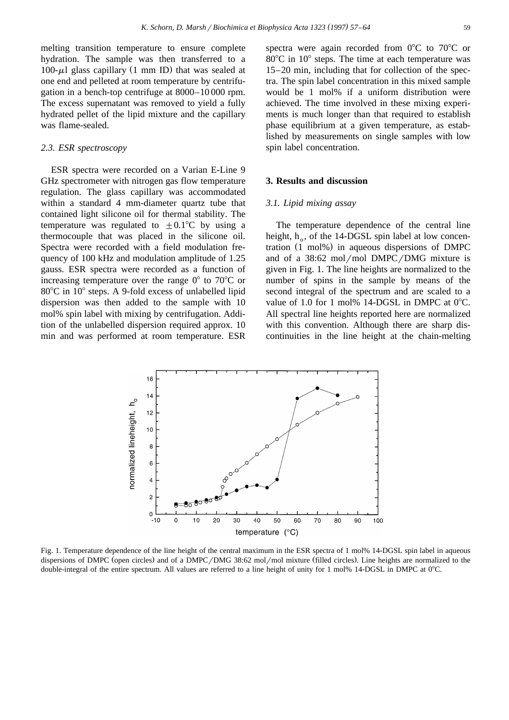melting transition temperature to ensure complete hydration. The sample was then transferred to a 100- $\mu$ l glass capillary (1 mm ID) that was sealed at one end and pelleted at room temperature by centrifugation in a bench-top centrifuge at 8000–10 000 rpm. The excess supernatant was removed to yield a fully hydrated pellet of the lipid mixture and the capillary was flame-sealed.

## *2.3. ESR spectroscopy*

ESR spectra were recorded on a Varian E-Line 9 GHz spectrometer with nitrogen gas flow temperature regulation. The glass capillary was accommodated within a standard 4 mm-diameter quartz tube that contained light silicone oil for thermal stability. The temperature was regulated to  $\pm 0.1^{\circ}$ C by using a thermocouple that was placed in the silicone oil. Spectra were recorded with a field modulation frequency of 100 kHz and modulation amplitude of 1.25 gauss. ESR spectra were recorded as a function of increasing temperature over the range  $0^{\circ}$  to 70 $^{\circ}$ C or  $80^{\circ}$ C in  $10^{\circ}$  steps. A 9-fold excess of unlabelled lipid dispersion was then added to the sample with 10 mol% spin label with mixing by centrifugation. Addition of the unlabelled dispersion required approx. 10 min and was performed at room temperature. ESR

spectra were again recorded from  $0^{\circ}$ C to  $70^{\circ}$ C or  $80^{\circ}$ C in  $10^{\circ}$  steps. The time at each temperature was 15–20 min, including that for collection of the spectra. The spin label concentration in this mixed sample would be 1 mol% if a uniform distribution were achieved. The time involved in these mixing experiments is much longer than that required to establish phase equilibrium at a given temperature, as established by measurements on single samples with low spin label concentration.

### **3. Results and discussion**

## *3.1. Lipid mixing assay*

The temperature dependence of the central line height,  $h_{\alpha}$ , of the 14-DGSL spin label at low concentration  $(1 \text{ mol})$  in aqueous dispersions of DMPC and of a  $38:62 \text{ mol/mol}$  DMPC/DMG mixture is given in Fig. 1. The line heights are normalized to the number of spins in the sample by means of the second integral of the spectrum and are scaled to a value of 1.0 for 1 mol% 14-DGSL in DMPC at  $0^{\circ}$ C. All spectral line heights reported here are normalized with this convention. Although there are sharp discontinuities in the line height at the chain-melting



Fig. 1. Temperature dependence of the line height of the central maximum in the ESR spectra of 1 mol% 14-DGSL spin label in aqueous dispersions of DMPC (open circles) and of a DMPC/DMG 38:62 mol/mol mixture (filled circles). Line heights are normalized to the double-integral of the entire spectrum. All values are referred to a line height of unity for 1 mol% 14-DGSL in DMPC at  $0^{\circ}$ C.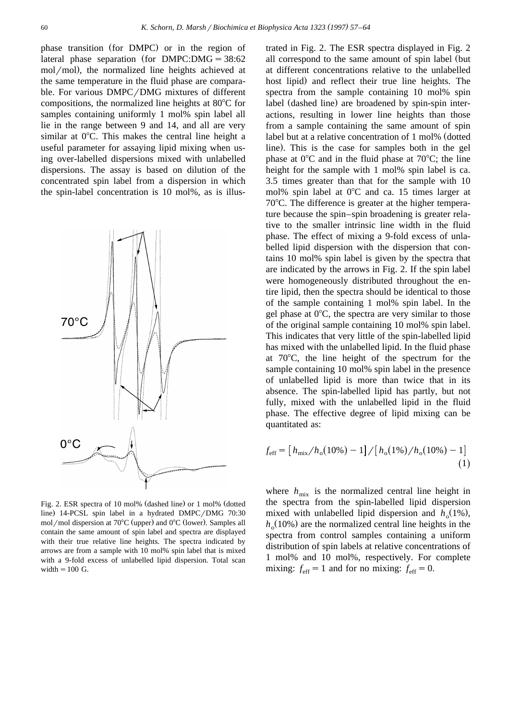phase transition (for DMPC) or in the region of lateral phase separation (for DMPC:DMG  $= 38:62$ )  $mol/mol$ , the normalized line heights achieved at the same temperature in the fluid phase are comparable. For various DMPC/DMG mixtures of different compositions, the normalized line heights at  $80^{\circ}$ C for samples containing uniformly 1 mol% spin label all lie in the range between 9 and 14, and all are very similar at  $0^{\circ}$ C. This makes the central line height a useful parameter for assaying lipid mixing when using over-labelled dispersions mixed with unlabelled dispersions. The assay is based on dilution of the concentrated spin label from a dispersion in which the spin-label concentration is 10 mol%, as is illus-



Fig. 2. ESR spectra of 10 mol% (dashed line) or 1 mol% (dotted line) 14-PCSL spin label in a hydrated DMPC/DMG 70:30 mol/mol dispersion at  $70^{\circ}$ C (upper) and  $0^{\circ}$ C (lower). Samples all contain the same amount of spin label and spectra are displayed with their true relative line heights. The spectra indicated by arrows are from a sample with 10 mol% spin label that is mixed with a 9-fold excess of unlabelled lipid dispersion. Total scan width  $=100$  G.

trated in Fig. 2. The ESR spectra displayed in Fig. 2 all correspond to the same amount of spin label (but at different concentrations relative to the unlabelled host lipid) and reflect their true line heights. The spectra from the sample containing 10 mol% spin label (dashed line) are broadened by spin-spin interactions, resulting in lower line heights than those from a sample containing the same amount of spin label but at a relative concentration of 1 mol% (dotted line). This is the case for samples both in the gel phase at  $0^{\circ}$ C and in the fluid phase at  $70^{\circ}$ C; the line height for the sample with 1 mol% spin label is ca. 3.5 times greater than that for the sample with 10 mol% spin label at  $0^{\circ}$ C and ca. 15 times larger at  $70^{\circ}$ C. The difference is greater at the higher temperature because the spin–spin broadening is greater relative to the smaller intrinsic line width in the fluid phase. The effect of mixing a 9-fold excess of unlabelled lipid dispersion with the dispersion that contains 10 mol% spin label is given by the spectra that are indicated by the arrows in Fig. 2. If the spin label were homogeneously distributed throughout the entire lipid, then the spectra should be identical to those of the sample containing 1 mol% spin label. In the gel phase at  $0^{\circ}$ C, the spectra are very similar to those of the original sample containing 10 mol% spin label. This indicates that very little of the spin-labelled lipid has mixed with the unlabelled lipid. In the fluid phase at  $70^{\circ}$ C, the line height of the spectrum for the sample containing 10 mol% spin label in the presence of unlabelled lipid is more than twice that in its absence. The spin-labelled lipid has partly, but not fully, mixed with the unlabelled lipid in the fluid phase. The effective degree of lipid mixing can be quantitated as:

$$
f_{\rm eff} = \left[ h_{\rm mix} / h_o(10\%) - 1 \right] / \left[ h_o(1\%) / h_o(10\%) - 1 \right] \tag{1}
$$

where  $h_{\text{mix}}$  is the normalized central line height in the spectra from the spin-labelled lipid dispersion mixed with unlabelled lipid dispersion and  $h_0(1\%)$ ,  $h<sub>o</sub>(10%)$  are the normalized central line heights in the spectra from control samples containing a uniform distribution of spin labels at relative concentrations of 1 mol% and 10 mol%, respectively. For complete mixing:  $f_{\text{eff}} = 1$  and for no mixing:  $f_{\text{eff}} = 0$ .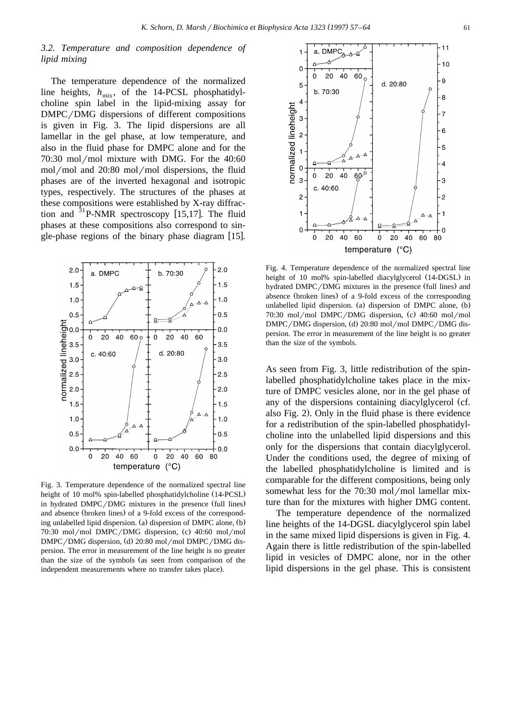# *3.2. Temperature and composition dependence of lipid mixing*

The temperature dependence of the normalized line heights,  $h_{\text{mix}}$ , of the 14-PCSL phosphatidylcholine spin label in the lipid-mixing assay for DMPC/DMG dispersions of different compositions is given in Fig. 3. The lipid dispersions are all lamellar in the gel phase, at low temperature, and also in the fluid phase for DMPC alone and for the  $70:30$  mol/mol mixture with DMG. For the  $40:60$  $mol/mol$  and  $20:80$  mol/mol dispersions, the fluid phases are of the inverted hexagonal and isotropic types, respectively. The structures of the phases at these compositions were established by X-ray diffraction and  $^{31}$ P-NMR spectroscopy [15,17]. The fluid phases at these compositions also correspond to single-phase regions of the binary phase diagram  $[15]$ .



Fig. 3. Temperature dependence of the normalized spectral line height of 10 mol% spin-labelled phosphatidylcholine (14-PCSL) in hydrated DMPC/DMG mixtures in the presence (full lines) and absence (broken lines) of a 9-fold excess of the corresponding unlabelled lipid dispersion. (a) dispersion of DMPC alone, (b)  $70:30 \text{ mol/mol}$  DMPC/DMG dispersion, (c)  $40:60 \text{ mol/mol}$ DMPC/DMG dispersion, (d) 20:80 mol/mol DMPC/DMG dispersion. The error in measurement of the line height is no greater than the size of the symbols (as seen from comparison of the independent measurements where no transfer takes place).



Fig. 4. Temperature dependence of the normalized spectral line height of 10 mol% spin-labelled diacylglycerol (14-DGSL) in hydrated DMPC/DMG mixtures in the presence (full lines) and absence (broken lines) of a 9-fold excess of the corresponding unlabelled lipid dispersion. (a) dispersion of DMPC alone,  $(b)$ 70:30 mol/mol DMPC/DMG dispersion, (c)  $40:60$  mol/mol DMPC/DMG dispersion, (d) 20:80 mol/mol DMPC/DMG dispersion. The error in measurement of the line height is no greater than the size of the symbols.

As seen from Fig. 3, little redistribution of the spinlabelled phosphatidylcholine takes place in the mixture of DMPC vesicles alone, nor in the gel phase of any of the dispersions containing diacylglycerol (cf. also Fig. 2). Only in the fluid phase is there evidence for a redistribution of the spin-labelled phosphatidylcholine into the unlabelled lipid dispersions and this only for the dispersions that contain diacylglycerol. Under the conditions used, the degree of mixing of the labelled phosphatidylcholine is limited and is comparable for the different compositions, being only somewhat less for the 70:30 mol/mol lamellar mixture than for the mixtures with higher DMG content.

The temperature dependence of the normalized line heights of the 14-DGSL diacylglycerol spin label in the same mixed lipid dispersions is given in Fig. 4. Again there is little redistribution of the spin-labelled lipid in vesicles of DMPC alone, nor in the other lipid dispersions in the gel phase. This is consistent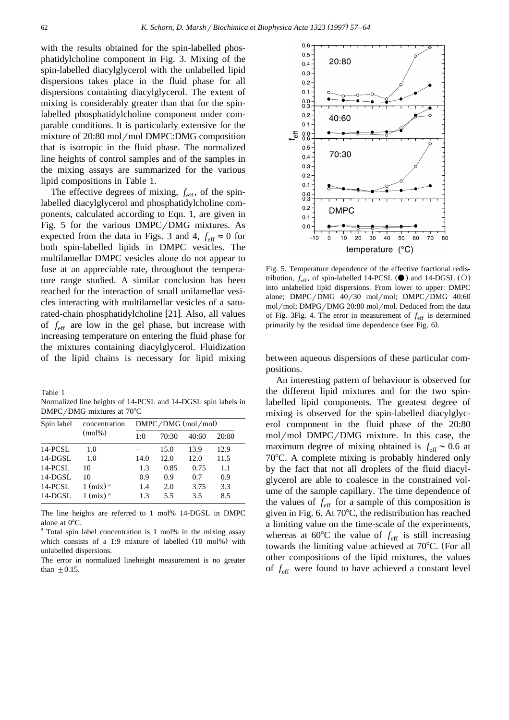with the results obtained for the spin-labelled phosphatidylcholine component in Fig. 3. Mixing of the spin-labelled diacylglycerol with the unlabelled lipid dispersions takes place in the fluid phase for all dispersions containing diacylglycerol. The extent of mixing is considerably greater than that for the spinlabelled phosphatidylcholine component under comparable conditions. It is particularly extensive for the mixture of 20:80 mol/mol DMPC:DMG composition that is isotropic in the fluid phase. The normalized line heights of control samples and of the samples in the mixing assays are summarized for the various lipid compositions in Table 1.

The effective degrees of mixing,  $f_{\text{eff}}$ , of the spinlabelled diacylglycerol and phosphatidylcholine components, calculated according to Eqn. 1, are given in Fig. 5 for the various  $DMPC/DMG$  mixtures. As expected from the data in Figs. 3 and 4,  $f_{\text{eff}} \approx 0$  for both spin-labelled lipids in DMPC vesicles. The multilamellar DMPC vesicles alone do not appear to fuse at an appreciable rate, throughout the temperature range studied. A similar conclusion has been reached for the interaction of small unilamellar vesicles interacting with multilamellar vesicles of a saturated-chain phosphatidylcholine [21]. Also, all values of  $f_{\text{eff}}$  are low in the gel phase, but increase with increasing temperature on entering the fluid phase for the mixtures containing diacylglycerol. Fluidization of the lipid chains is necessary for lipid mixing

Table 1

Normalized line heights of 14-PCSL and 14-DGSL spin labels in  $DMPC/DMG$  mixtures at 70 $°C$ 

| Spin label | concentration<br>$(mol\%)$     | DMPC/DMG (mol/mol) |       |       |       |
|------------|--------------------------------|--------------------|-------|-------|-------|
|            |                                | 1:0                | 70:30 | 40:60 | 20:80 |
| 14-PCSL    | 1.0                            |                    | 15.0  | 13.9  | 12.9  |
| 14-DGSL    | 1.0                            | 14.0               | 12.0  | 12.0  | 11.5  |
| $14$ -PCSL | 10                             | 1.3                | 0.85  | 0.75  | 1.1   |
| $14-DGSL$  | 10                             | 0.9                | 0.9   | 0.7   | 0.9   |
| 14-PCSL    | $1 \text{ (mix)}$ <sup>a</sup> | 1.4                | 2.0   | 3.75  | 3.3   |
| 14-DGSL    | $1 \text{ (mix)}$ <sup>a</sup> | 1.3                | 5.5   | 3.5   | 8.5   |

The line heights are referred to 1 mol% 14-DGSL in DMPC alone at  $0^{\circ}$ C.<br><sup>a</sup> Total spin label concentration is 1 mol% in the mixing assay

which consists of a 1:9 mixture of labelled  $(10 \text{ mol\%})$  with unlabelled dispersions.

The error in normalized lineheight measurement is no greater than  $\pm 0.15$ .



Fig. 5. Temperature dependence of the effective fractional redistribution,  $f_{\text{eff}}$ , of spin-labelled 14-PCSL  $(\bullet)$  and 14-DGSL  $(\circ)$ into unlabelled lipid dispersions. From lower to upper: DMPC alone; DMPC/DMG 40/30 mol/mol; DMPC/DMG 40:60 mol/mol; DMPG/DMG 20:80 mol/mol. Deduced from the data of Fig. 3Fig. 4. The error in measurement of  $f_{\text{eff}}$  is determined primarily by the residual time dependence (see Fig. 6).

between aqueous dispersions of these particular compositions.

An interesting pattern of behaviour is observed for the different lipid mixtures and for the two spinlabelled lipid components. The greatest degree of mixing is observed for the spin-labelled diacylglycerol component in the fluid phase of the 20:80 mol/mol DMPC/DMG mixture. In this case, the maximum degree of mixing obtained is  $f_{\text{eff}} \sim 0.6$  at  $70^{\circ}$ C. A complete mixing is probably hindered only by the fact that not all droplets of the fluid diacylglycerol are able to coalesce in the constrained volume of the sample capillary. The time dependence of the values of  $f_{\text{eff}}$  for a sample of this composition is given in Fig. 6. At  $70^{\circ}$ C, the redistribution has reached a limiting value on the time-scale of the experiments, whereas at  $60^{\circ}$ C the value of  $f_{\text{eff}}$  is still increasing towards the limiting value achieved at  $70^{\circ}$ C. (For all other compositions of the lipid mixtures, the values of  $f_{\text{eff}}$  were found to have achieved a constant level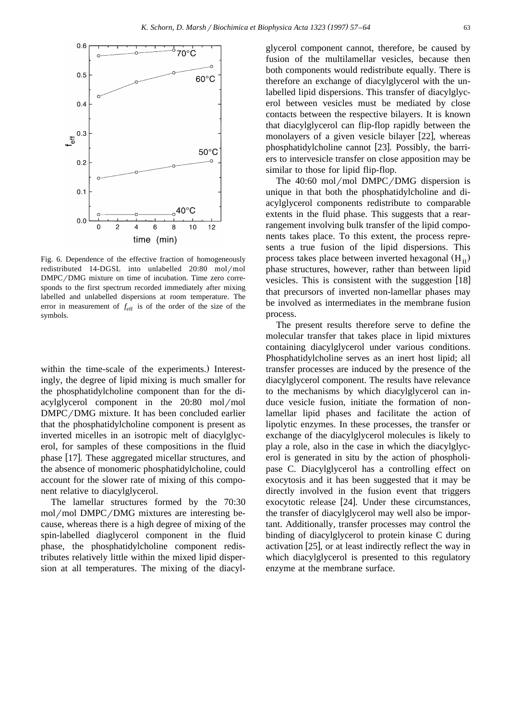

Fig. 6. Dependence of the effective fraction of homogeneously redistributed 14-DGSL into unlabelled 20:80 mol/mol DMPC/DMG mixture on time of incubation. Time zero corresponds to the first spectrum recorded immediately after mixing labelled and unlabelled dispersions at room temperature. The error in measurement of  $f_{\text{eff}}$  is of the order of the size of the symbols.

within the time-scale of the experiments.) Interestingly, the degree of lipid mixing is much smaller for the phosphatidylcholine component than for the diacylglycerol component in the  $20:80 \text{ mol/mol}$ DMPC/DMG mixture. It has been concluded earlier that the phosphatidylcholine component is present as inverted micelles in an isotropic melt of diacylglycerol, for samples of these compositions in the fluid phase [17]. These aggregated micellar structures, and the absence of monomeric phosphatidylcholine, could account for the slower rate of mixing of this component relative to diacylglycerol.

The lamellar structures formed by the 70:30 mol/mol DMPC/DMG mixtures are interesting because, whereas there is a high degree of mixing of the spin-labelled diaglycerol component in the fluid phase, the phosphatidylcholine component redistributes relatively little within the mixed lipid dispersion at all temperatures. The mixing of the diacyl-

glycerol component cannot, therefore, be caused by fusion of the multilamellar vesicles, because then both components would redistribute equally. There is therefore an exchange of diacylglycerol with the unlabelled lipid dispersions. This transfer of diacylglycerol between vesicles must be mediated by close contacts between the respective bilayers. It is known that diacylglycerol can flip-flop rapidly between the monolayers of a given vesicle bilayer [22], whereas phosphatidylcholine cannot [23]. Possibly, the barriers to intervesicle transfer on close apposition may be similar to those for lipid flip-flop.

The  $40:60$  mol/mol DMPC/DMG dispersion is unique in that both the phosphatidylcholine and diacylglycerol components redistribute to comparable extents in the fluid phase. This suggests that a rearrangement involving bulk transfer of the lipid components takes place. To this extent, the process represents a true fusion of the lipid dispersions. This process takes place between inverted hexagonal  $(H<sub>II</sub>)$ phase structures, however, rather than between lipid vesicles. This is consistent with the suggestion  $[18]$ that precursors of inverted non-lamellar phases may be involved as intermediates in the membrane fusion process.

The present results therefore serve to define the molecular transfer that takes place in lipid mixtures containing diacylglycerol under various conditions. Phosphatidylcholine serves as an inert host lipid; all transfer processes are induced by the presence of the diacylglycerol component. The results have relevance to the mechanisms by which diacylglycerol can induce vesicle fusion, initiate the formation of nonlamellar lipid phases and facilitate the action of lipolytic enzymes. In these processes, the transfer or exchange of the diacylglycerol molecules is likely to play a role, also in the case in which the diacylglycerol is generated in situ by the action of phospholipase C. Diacylglycerol has a controlling effect on exocytosis and it has been suggested that it may be directly involved in the fusion event that triggers exocytotic release [24]. Under these circumstances, the transfer of diacylglycerol may well also be important. Additionally, transfer processes may control the binding of diacylglycerol to protein kinase C during activation  $[25]$ , or at least indirectly reflect the way in which diacylglycerol is presented to this regulatory enzyme at the membrane surface.